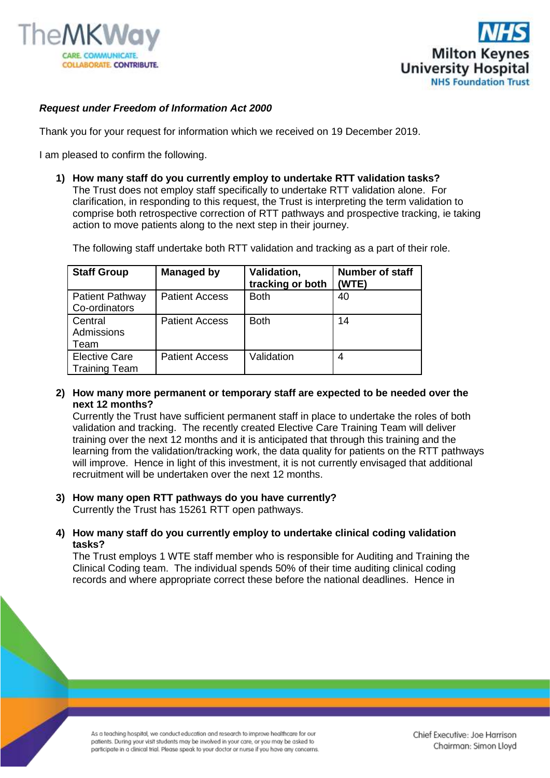



## *Request under Freedom of Information Act 2000*

Thank you for your request for information which we received on 19 December 2019.

I am pleased to confirm the following.

**1) How many staff do you currently employ to undertake RTT validation tasks?**  The Trust does not employ staff specifically to undertake RTT validation alone. For clarification, in responding to this request, the Trust is interpreting the term validation to comprise both retrospective correction of RTT pathways and prospective tracking, ie taking action to move patients along to the next step in their journey.

The following staff undertake both RTT validation and tracking as a part of their role.

| <b>Staff Group</b>                           | <b>Managed by</b>     | Validation,<br>tracking or both | <b>Number of staff</b><br>(WTE) |
|----------------------------------------------|-----------------------|---------------------------------|---------------------------------|
| <b>Patient Pathway</b><br>Co-ordinators      | <b>Patient Access</b> | <b>Both</b>                     | 40                              |
| Central<br>Admissions<br>Team                | <b>Patient Access</b> | <b>Both</b>                     | 14                              |
| <b>Elective Care</b><br><b>Training Team</b> | <b>Patient Access</b> | Validation                      | 4                               |

**2) How many more permanent or temporary staff are expected to be needed over the next 12 months?**

Currently the Trust have sufficient permanent staff in place to undertake the roles of both validation and tracking. The recently created Elective Care Training Team will deliver training over the next 12 months and it is anticipated that through this training and the learning from the validation/tracking work, the data quality for patients on the RTT pathways will improve. Hence in light of this investment, it is not currently envisaged that additional recruitment will be undertaken over the next 12 months.

- **3) How many open RTT pathways do you have currently?** Currently the Trust has 15261 RTT open pathways.
- **4) How many staff do you currently employ to undertake clinical coding validation tasks?**

The Trust employs 1 WTE staff member who is responsible for Auditing and Training the Clinical Coding team. The individual spends 50% of their time auditing clinical coding records and where appropriate correct these before the national deadlines. Hence in

As a teaching hospital, we conduct education and research to improve healthcare for our patients. During your visit students may be involved in your care, or you may be asked to participate in a clinical trial. Please speak to your doctor or nurse if you have any concerns.